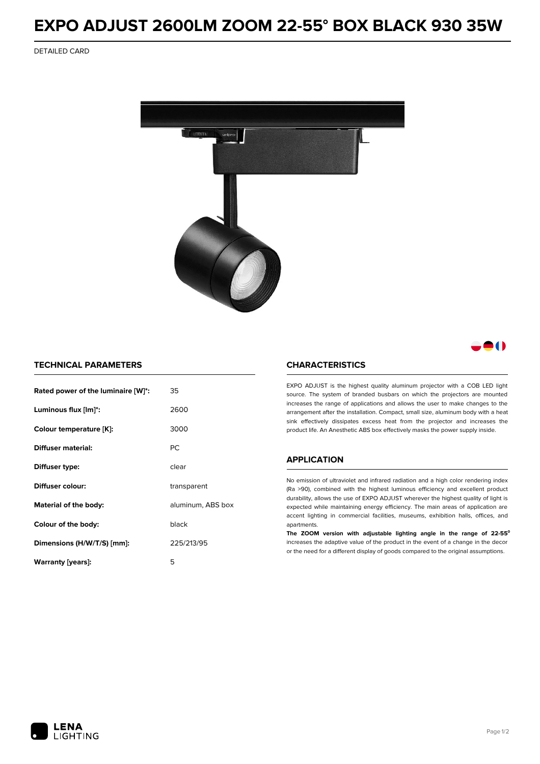# **EXPO ADJUST 2600LM ZOOM 22-55° BOX BLACK 930 35W**

DETAILED CARD



## 80

### **TECHNICAL PARAMETERS**

| Rated power of the luminaire [W]*: | 35                |  |
|------------------------------------|-------------------|--|
| Luminous flux [lm]*:               | 2600              |  |
| Colour temperature [K]:            | 3000              |  |
| Diffuser material:                 | РC                |  |
| Diffuser type:                     | clear             |  |
| Diffuser colour:                   | transparent       |  |
| Material of the body:              | aluminum, ABS box |  |
| Colour of the body:                | black             |  |
| Dimensions (H/W/T/S) [mm]:         | 225/213/95        |  |
| Warranty (years):                  | 5                 |  |

#### **CHARACTERISTICS**

EXPO ADJUST is the highest quality aluminum projector with a COB LED light source. The system of branded busbars on which the projectors are mounted increases the range of applications and allows the user to make changes to the arrangement after the installation. Compact, small size, aluminum body with a heat sink effectively dissipates excess heat from the projector and increases the product life. An Anesthetic ABS box effectively masks the power supply inside.

### **APPLICATION**

No emission of ultraviolet and infrared radiation and a high color rendering index (Ra >90), combined with the highest luminous efficiency and excellent product durability, allows the use of EXPO ADJUST wherever the highest quality of light is expected while maintaining energy efficiency. The main areas of application are accent lighting in commercial facilities, museums, exhibition halls, offices, and apartments.

**The ZOOM version with adjustable lighting angle in the range of 22-55⁰** increases the adaptive value of the product in the event of a change in the decor or the need for a different display of goods compared to the original assumptions.